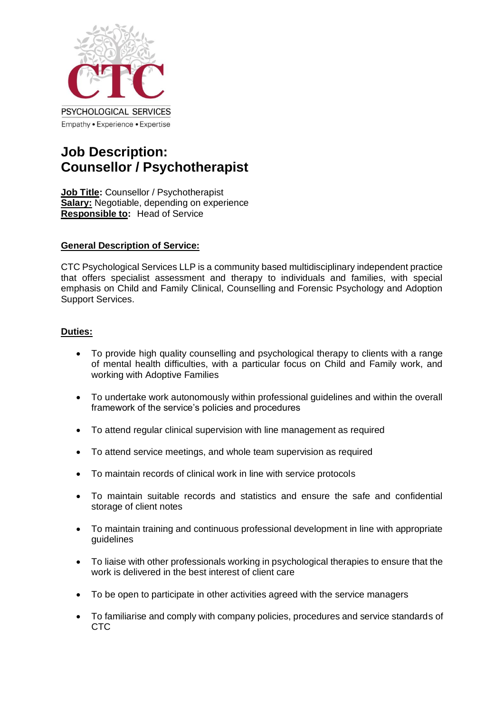

# **Job Description: Counsellor / Psychotherapist**

**Job Title:** Counsellor / Psychotherapist **Salary:** Negotiable, depending on experience **Responsible to:** Head of Service

## **General Description of Service:**

CTC Psychological Services LLP is a community based multidisciplinary independent practice that offers specialist assessment and therapy to individuals and families, with special emphasis on Child and Family Clinical, Counselling and Forensic Psychology and Adoption Support Services.

## **Duties:**

- To provide high quality counselling and psychological therapy to clients with a range of mental health difficulties, with a particular focus on Child and Family work, and working with Adoptive Families
- To undertake work autonomously within professional guidelines and within the overall framework of the service's policies and procedures
- To attend regular clinical supervision with line management as required
- To attend service meetings, and whole team supervision as required
- To maintain records of clinical work in line with service protocols
- To maintain suitable records and statistics and ensure the safe and confidential storage of client notes
- To maintain training and continuous professional development in line with appropriate guidelines
- To liaise with other professionals working in psychological therapies to ensure that the work is delivered in the best interest of client care
- To be open to participate in other activities agreed with the service managers
- To familiarise and comply with company policies, procedures and service standards of CTC